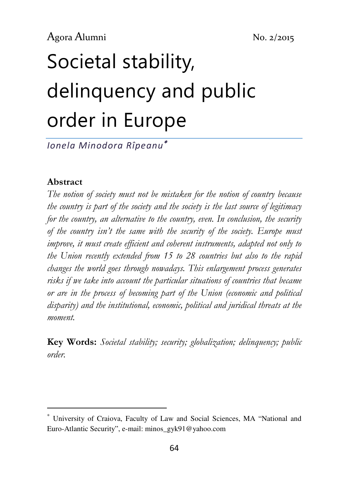# Societal stability, delinquency and public order in Europe

Ionela Minodora Rîpeanu<sup>∗</sup>

#### Abstract

 $\overline{a}$ 

The notion of society must not be mistaken for the notion of country because the country is part of the society and the society is the last source of legitimacy for the country, an alternative to the country, even. In conclusion, the security of the country isn't the same with the security of the society. Europe must improve, it must create efficient and coherent instruments, adapted not only to the Union recently extended from 15 to 28 countries but also to the rapid changes the world goes through nowadays. This enlargement process generates risks if we take into account the particular situations of countries that became or are in the process of becoming part of the Union (economic and political disparity) and the institutional, economic, political and juridical threats at the moment.

Key Words: Societal stability; security; globalization; delinquency; public order.

<sup>∗</sup> University of Craiova, Faculty of Law and Social Sciences, MA "National and Euro-Atlantic Security", e-mail: minos\_gyk91@yahoo.com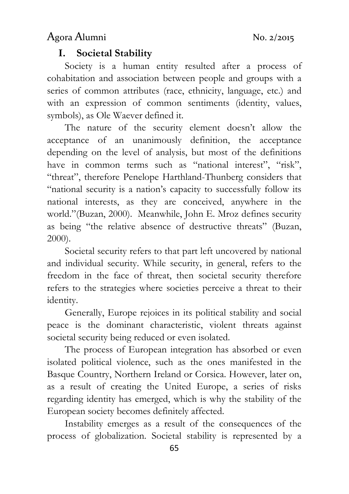#### I. Societal Stability

Society is a human entity resulted after a process of cohabitation and association between people and groups with a series of common attributes (race, ethnicity, language, etc.) and with an expression of common sentiments (identity, values, symbols), as Ole Waever defined it.

The nature of the security element doesn't allow the acceptance of an unanimously definition, the acceptance depending on the level of analysis, but most of the definitions have in common terms such as "national interest", "risk", "threat", therefore Penelope Harthland-Thunberg considers that "national security is a nation's capacity to successfully follow its national interests, as they are conceived, anywhere in the world."(Buzan, 2000). Meanwhile, John E. Mroz defines security as being "the relative absence of destructive threats" (Buzan, 2000).

Societal security refers to that part left uncovered by national and individual security. While security, in general, refers to the freedom in the face of threat, then societal security therefore refers to the strategies where societies perceive a threat to their identity.

Generally, Europe rejoices in its political stability and social peace is the dominant characteristic, violent threats against societal security being reduced or even isolated.

The process of European integration has absorbed or even isolated political violence, such as the ones manifested in the Basque Country, Northern Ireland or Corsica. However, later on, as a result of creating the United Europe, a series of risks regarding identity has emerged, which is why the stability of the European society becomes definitely affected.

Instability emerges as a result of the consequences of the process of globalization. Societal stability is represented by a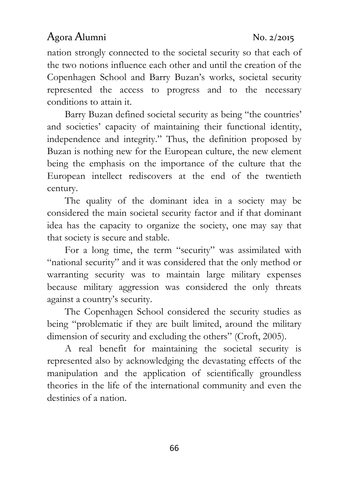nation strongly connected to the societal security so that each of the two notions influence each other and until the creation of the Copenhagen School and Barry Buzan's works, societal security represented the access to progress and to the necessary conditions to attain it.

Barry Buzan defined societal security as being "the countries' and societies' capacity of maintaining their functional identity, independence and integrity." Thus, the definition proposed by Buzan is nothing new for the European culture, the new element being the emphasis on the importance of the culture that the European intellect rediscovers at the end of the twentieth century.

The quality of the dominant idea in a society may be considered the main societal security factor and if that dominant idea has the capacity to organize the society, one may say that that society is secure and stable.

For a long time, the term "security" was assimilated with "national security" and it was considered that the only method or warranting security was to maintain large military expenses because military aggression was considered the only threats against a country's security.

The Copenhagen School considered the security studies as being "problematic if they are built limited, around the military dimension of security and excluding the others" (Croft, 2005).

A real benefit for maintaining the societal security is represented also by acknowledging the devastating effects of the manipulation and the application of scientifically groundless theories in the life of the international community and even the destinies of a nation.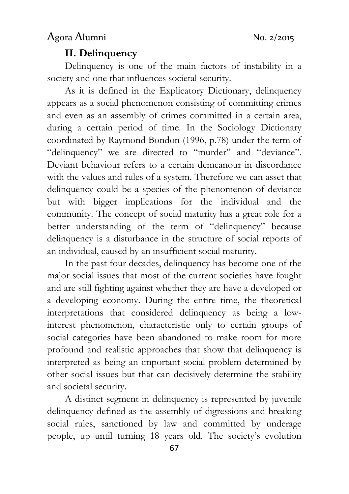#### II. Delinquency

Delinquency is one of the main factors of instability in a society and one that influences societal security.

As it is defined in the Explicatory Dictionary, delinquency appears as a social phenomenon consisting of committing crimes and even as an assembly of crimes committed in a certain area, during a certain period of time. In the Sociology Dictionary coordinated by Raymond Bondon (1996, p.78) under the term of "delinquency" we are directed to "murder" and "deviance". Deviant behaviour refers to a certain demeanour in discordance with the values and rules of a system. Therefore we can asset that delinquency could be a species of the phenomenon of deviance but with bigger implications for the individual and the community. The concept of social maturity has a great role for a better understanding of the term of "delinquency" because delinquency is a disturbance in the structure of social reports of an individual, caused by an insufficient social maturity.

In the past four decades, delinquency has become one of the major social issues that most of the current societies have fought and are still fighting against whether they are have a developed or a developing economy. During the entire time, the theoretical interpretations that considered delinquency as being a lowinterest phenomenon, characteristic only to certain groups of social categories have been abandoned to make room for more profound and realistic approaches that show that delinquency is interpreted as being an important social problem determined by other social issues but that can decisively determine the stability and societal security.

A distinct segment in delinquency is represented by juvenile delinquency defined as the assembly of digressions and breaking social rules, sanctioned by law and committed by underage people, up until turning 18 years old. The society's evolution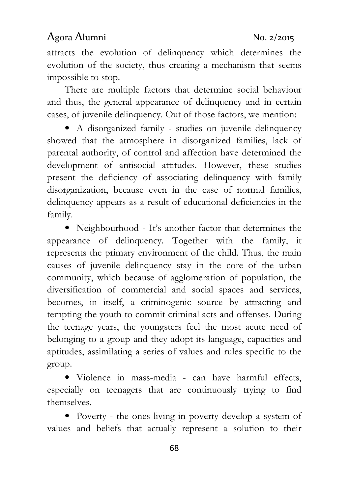attracts the evolution of delinquency which determines the evolution of the society, thus creating a mechanism that seems impossible to stop.

There are multiple factors that determine social behaviour and thus, the general appearance of delinquency and in certain cases, of juvenile delinquency. Out of those factors, we mention:

• A disorganized family - studies on juvenile delinquency showed that the atmosphere in disorganized families, lack of parental authority, of control and affection have determined the development of antisocial attitudes. However, these studies present the deficiency of associating delinquency with family disorganization, because even in the case of normal families, delinquency appears as a result of educational deficiencies in the family.

• Neighbourhood - It's another factor that determines the appearance of delinquency. Together with the family, it represents the primary environment of the child. Thus, the main causes of juvenile delinquency stay in the core of the urban community, which because of agglomeration of population, the diversification of commercial and social spaces and services, becomes, in itself, a criminogenic source by attracting and tempting the youth to commit criminal acts and offenses. During the teenage years, the youngsters feel the most acute need of belonging to a group and they adopt its language, capacities and aptitudes, assimilating a series of values and rules specific to the group.

• Violence in mass-media - can have harmful effects, especially on teenagers that are continuously trying to find themselves.

• Poverty - the ones living in poverty develop a system of values and beliefs that actually represent a solution to their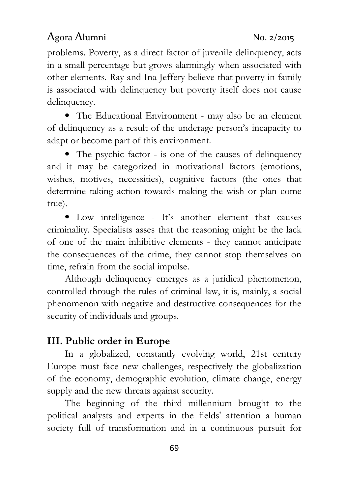problems. Poverty, as a direct factor of juvenile delinquency, acts in a small percentage but grows alarmingly when associated with other elements. Ray and Ina Jeffery believe that poverty in family is associated with delinquency but poverty itself does not cause delinquency.

• The Educational Environment - may also be an element of delinquency as a result of the underage person's incapacity to adapt or become part of this environment.

• The psychic factor - is one of the causes of delinquency and it may be categorized in motivational factors (emotions, wishes, motives, necessities), cognitive factors (the ones that determine taking action towards making the wish or plan come true).

• Low intelligence - It's another element that causes criminality. Specialists asses that the reasoning might be the lack of one of the main inhibitive elements - they cannot anticipate the consequences of the crime, they cannot stop themselves on time, refrain from the social impulse.

Although delinquency emerges as a juridical phenomenon, controlled through the rules of criminal law, it is, mainly, a social phenomenon with negative and destructive consequences for the security of individuals and groups.

#### III. Public order in Europe

In a globalized, constantly evolving world, 21st century Europe must face new challenges, respectively the globalization of the economy, demographic evolution, climate change, energy supply and the new threats against security.

The beginning of the third millennium brought to the political analysts and experts in the fields' attention a human society full of transformation and in a continuous pursuit for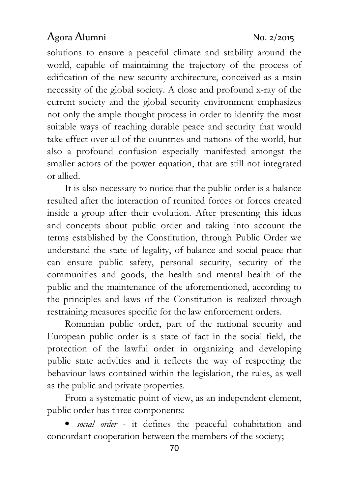solutions to ensure a peaceful climate and stability around the world, capable of maintaining the trajectory of the process of edification of the new security architecture, conceived as a main necessity of the global society. A close and profound x-ray of the current society and the global security environment emphasizes not only the ample thought process in order to identify the most suitable ways of reaching durable peace and security that would take effect over all of the countries and nations of the world, but also a profound confusion especially manifested amongst the smaller actors of the power equation, that are still not integrated or allied.

It is also necessary to notice that the public order is a balance resulted after the interaction of reunited forces or forces created inside a group after their evolution. After presenting this ideas and concepts about public order and taking into account the terms established by the Constitution, through Public Order we understand the state of legality, of balance and social peace that can ensure public safety, personal security, security of the communities and goods, the health and mental health of the public and the maintenance of the aforementioned, according to the principles and laws of the Constitution is realized through restraining measures specific for the law enforcement orders.

Romanian public order, part of the national security and European public order is a state of fact in the social field, the protection of the lawful order in organizing and developing public state activities and it reflects the way of respecting the behaviour laws contained within the legislation, the rules, as well as the public and private properties.

From a systematic point of view, as an independent element, public order has three components:

• social order - it defines the peaceful cohabitation and concordant cooperation between the members of the society;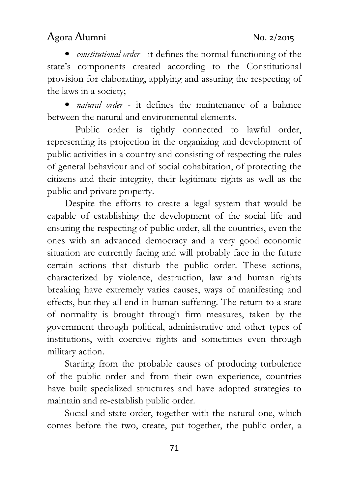• *constitutional order* - it defines the normal functioning of the state's components created according to the Constitutional provision for elaborating, applying and assuring the respecting of the laws in a society;

• *natural order* - it defines the maintenance of a balance between the natural and environmental elements.

Public order is tightly connected to lawful order, representing its projection in the organizing and development of public activities in a country and consisting of respecting the rules of general behaviour and of social cohabitation, of protecting the citizens and their integrity, their legitimate rights as well as the public and private property.

Despite the efforts to create a legal system that would be capable of establishing the development of the social life and ensuring the respecting of public order, all the countries, even the ones with an advanced democracy and a very good economic situation are currently facing and will probably face in the future certain actions that disturb the public order. These actions, characterized by violence, destruction, law and human rights breaking have extremely varies causes, ways of manifesting and effects, but they all end in human suffering. The return to a state of normality is brought through firm measures, taken by the government through political, administrative and other types of institutions, with coercive rights and sometimes even through military action.

Starting from the probable causes of producing turbulence of the public order and from their own experience, countries have built specialized structures and have adopted strategies to maintain and re-establish public order.

Social and state order, together with the natural one, which comes before the two, create, put together, the public order, a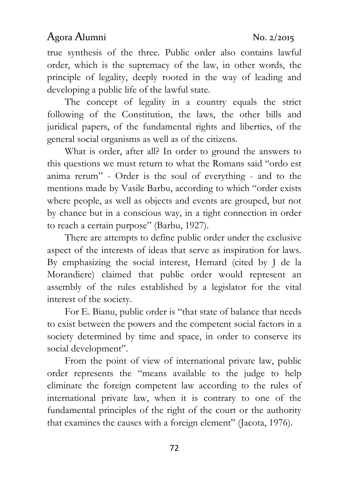true synthesis of the three. Public order also contains lawful order, which is the supremacy of the law, in other words, the principle of legality, deeply rooted in the way of leading and developing a public life of the lawful state.

The concept of legality in a country equals the strict following of the Constitution, the laws, the other bills and juridical papers, of the fundamental rights and liberties, of the general social organisms as well as of the citizens.

What is order, after all? In order to ground the answers to this questions we must return to what the Romans said "ordo est anima rerum" - Order is the soul of everything - and to the mentions made by Vasile Barbu, according to which "order exists where people, as well as objects and events are grouped, but not by chance but in a conscious way, in a tight connection in order to reach a certain purpose" (Barbu, 1927).

There are attempts to define public order under the exclusive aspect of the interests of ideas that serve as inspiration for laws. By emphasizing the social interest, Hemard (cited by J de la Morandiere) claimed that public order would represent an assembly of the rules established by a legislator for the vital interest of the society.

For E. Bianu, public order is "that state of balance that needs to exist between the powers and the competent social factors in a society determined by time and space, in order to conserve its social development".

From the point of view of international private law, public order represents the "means available to the judge to help eliminate the foreign competent law according to the rules of international private law, when it is contrary to one of the fundamental principles of the right of the court or the authority that examines the causes with a foreign element" (Jacota, 1976).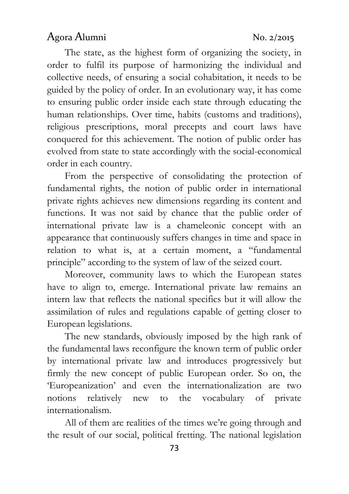The state, as the highest form of organizing the society, in order to fulfil its purpose of harmonizing the individual and collective needs, of ensuring a social cohabitation, it needs to be guided by the policy of order. In an evolutionary way, it has come to ensuring public order inside each state through educating the human relationships. Over time, habits (customs and traditions), religious prescriptions, moral precepts and court laws have conquered for this achievement. The notion of public order has evolved from state to state accordingly with the social-economical order in each country.

From the perspective of consolidating the protection of fundamental rights, the notion of public order in international private rights achieves new dimensions regarding its content and functions. It was not said by chance that the public order of international private law is a chameleonic concept with an appearance that continuously suffers changes in time and space in relation to what is, at a certain moment, a "fundamental principle" according to the system of law of the seized court.

Moreover, community laws to which the European states have to align to, emerge. International private law remains an intern law that reflects the national specifics but it will allow the assimilation of rules and regulations capable of getting closer to European legislations.

The new standards, obviously imposed by the high rank of the fundamental laws reconfigure the known term of public order by international private law and introduces progressively but firmly the new concept of public European order. So on, the 'Europeanization' and even the internationalization are two notions relatively new to the vocabulary of private internationalism.

All of them are realities of the times we're going through and the result of our social, political fretting. The national legislation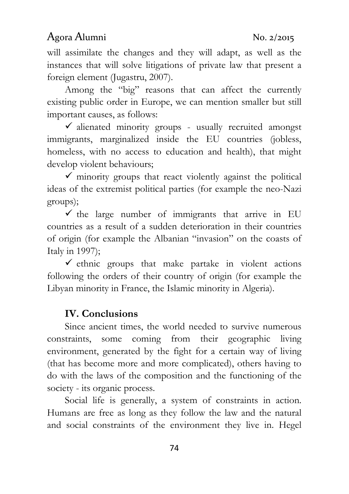will assimilate the changes and they will adapt, as well as the instances that will solve litigations of private law that present a foreign element (Jugastru, 2007).

Among the "big" reasons that can affect the currently existing public order in Europe, we can mention smaller but still important causes, as follows:

 $\checkmark$  alienated minority groups - usually recruited amongst immigrants, marginalized inside the EU countries (jobless, homeless, with no access to education and health), that might develop violent behaviours;

 $\checkmark$  minority groups that react violently against the political ideas of the extremist political parties (for example the neo-Nazi groups);

 $\checkmark$  the large number of immigrants that arrive in EU countries as a result of a sudden deterioration in their countries of origin (for example the Albanian "invasion" on the coasts of Italy in 1997);

 $\checkmark$  ethnic groups that make partake in violent actions following the orders of their country of origin (for example the Libyan minority in France, the Islamic minority in Algeria).

#### IV. Conclusions

Since ancient times, the world needed to survive numerous constraints, some coming from their geographic living environment, generated by the fight for a certain way of living (that has become more and more complicated), others having to do with the laws of the composition and the functioning of the society - its organic process.

Social life is generally, a system of constraints in action. Humans are free as long as they follow the law and the natural and social constraints of the environment they live in. Hegel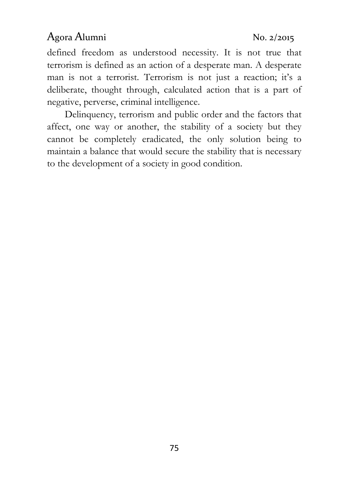defined freedom as understood necessity. It is not true that terrorism is defined as an action of a desperate man. A desperate man is not a terrorist. Terrorism is not just a reaction; it's a deliberate, thought through, calculated action that is a part of negative, perverse, criminal intelligence.

Delinquency, terrorism and public order and the factors that affect, one way or another, the stability of a society but they cannot be completely eradicated, the only solution being to maintain a balance that would secure the stability that is necessary to the development of a society in good condition.